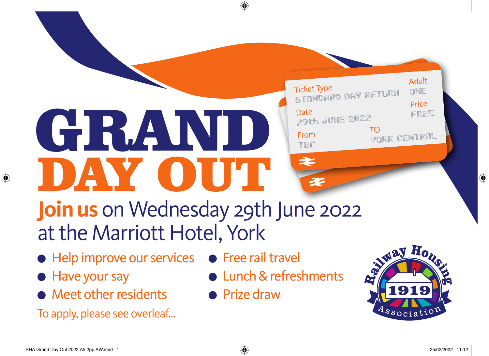## DAY OUT GRAND



## **Join us** on Wednesday 29th June 2022 at the Marriott Hotel, York

- Help improve our services Free rail travel
- **Have your say**

 $\bigoplus$ 

- Meet other residents
- To apply, please see overleaf...
- 
- Lunch & refreshments
- **•** Prize draw

⊕



⊕